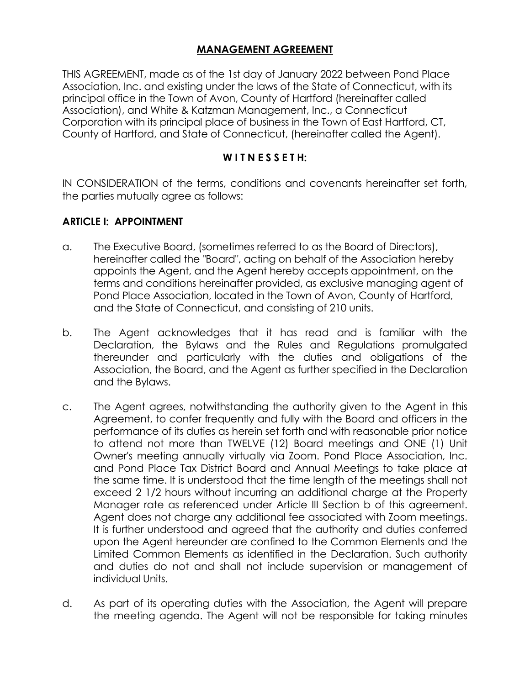# **MANAGEMENT AGREEMENT**

THIS AGREEMENT, made as of the 1st day of January 2022 between Pond Place Association, Inc. and existing under the laws of the State of Connecticut, with its principal office in the Town of Avon, County of Hartford (hereinafter called Association), and White & Katzman Management, Inc., a Connecticut Corporation with its principal place of business in the Town of East Hartford, CT, County of Hartford, and State of Connecticut, (hereinafter called the Agent).

#### **W I T N E S S E T H:**

IN CONSIDERATION of the terms, conditions and covenants hereinafter set forth, the parties mutually agree as follows:

#### **ARTICLE I: APPOINTMENT**

- a. The Executive Board, (sometimes referred to as the Board of Directors), hereinafter called the "Board", acting on behalf of the Association hereby appoints the Agent, and the Agent hereby accepts appointment, on the terms and conditions hereinafter provided, as exclusive managing agent of Pond Place Association, located in the Town of Avon, County of Hartford, and the State of Connecticut, and consisting of 210 units.
- b. The Agent acknowledges that it has read and is familiar with the Declaration, the Bylaws and the Rules and Regulations promulgated thereunder and particularly with the duties and obligations of the Association, the Board, and the Agent as further specified in the Declaration and the Bylaws.
- c. The Agent agrees, notwithstanding the authority given to the Agent in this Agreement, to confer frequently and fully with the Board and officers in the performance of its duties as herein set forth and with reasonable prior notice to attend not more than TWELVE (12) Board meetings and ONE (1) Unit Owner's meeting annually virtually via Zoom. Pond Place Association, Inc. and Pond Place Tax District Board and Annual Meetings to take place at the same time. It is understood that the time length of the meetings shall not exceed 2 1/2 hours without incurring an additional charge at the Property Manager rate as referenced under Article III Section b of this agreement. Agent does not charge any additional fee associated with Zoom meetings. It is further understood and agreed that the authority and duties conferred upon the Agent hereunder are confined to the Common Elements and the Limited Common Elements as identified in the Declaration. Such authority and duties do not and shall not include supervision or management of individual Units.
- d. As part of its operating duties with the Association, the Agent will prepare the meeting agenda. The Agent will not be responsible for taking minutes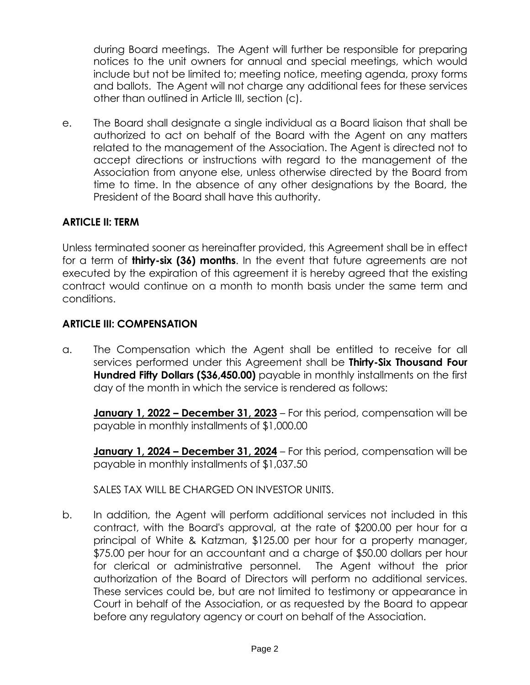during Board meetings. The Agent will further be responsible for preparing notices to the unit owners for annual and special meetings, which would include but not be limited to; meeting notice, meeting agenda, proxy forms and ballots. The Agent will not charge any additional fees for these services other than outlined in Article III, section (c).

e. The Board shall designate a single individual as a Board liaison that shall be authorized to act on behalf of the Board with the Agent on any matters related to the management of the Association. The Agent is directed not to accept directions or instructions with regard to the management of the Association from anyone else, unless otherwise directed by the Board from time to time. In the absence of any other designations by the Board, the President of the Board shall have this authority.

# **ARTICLE II: TERM**

Unless terminated sooner as hereinafter provided, this Agreement shall be in effect for a term of **thirty-six (36) months**. In the event that future agreements are not executed by the expiration of this agreement it is hereby agreed that the existing contract would continue on a month to month basis under the same term and conditions.

### **ARTICLE III: COMPENSATION**

a. The Compensation which the Agent shall be entitled to receive for all services performed under this Agreement shall be **Thirty-Six Thousand Four Hundred Fifty Dollars (\$36,450.00)** payable in monthly installments on the first day of the month in which the service is rendered as follows:

**January 1, 2022 – December 31, 2023** – For this period, compensation will be payable in monthly installments of \$1,000.00

**January 1, 2024 – December 31, 2024** – For this period, compensation will be payable in monthly installments of \$1,037.50

SALES TAX WILL BE CHARGED ON INVESTOR UNITS.

b. In addition, the Agent will perform additional services not included in this contract, with the Board's approval, at the rate of \$200.00 per hour for a principal of White & Katzman, \$125.00 per hour for a property manager, \$75.00 per hour for an accountant and a charge of \$50.00 dollars per hour for clerical or administrative personnel. The Agent without the prior authorization of the Board of Directors will perform no additional services. These services could be, but are not limited to testimony or appearance in Court in behalf of the Association, or as requested by the Board to appear before any regulatory agency or court on behalf of the Association.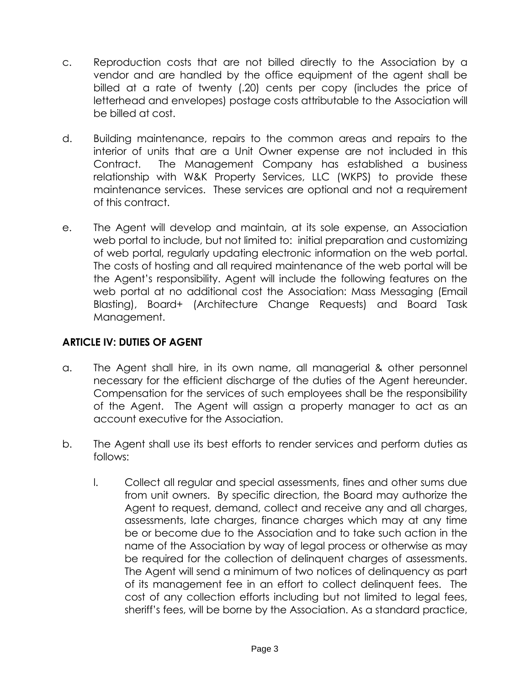- c. Reproduction costs that are not billed directly to the Association by a vendor and are handled by the office equipment of the agent shall be billed at a rate of twenty (.20) cents per copy (includes the price of letterhead and envelopes) postage costs attributable to the Association will be billed at cost.
- d. Building maintenance, repairs to the common areas and repairs to the interior of units that are a Unit Owner expense are not included in this Contract. The Management Company has established a business relationship with W&K Property Services, LLC (WKPS) to provide these maintenance services. These services are optional and not a requirement of this contract.
- e. The Agent will develop and maintain, at its sole expense, an Association web portal to include, but not limited to: initial preparation and customizing of web portal, regularly updating electronic information on the web portal. The costs of hosting and all required maintenance of the web portal will be the Agent's responsibility. Agent will include the following features on the web portal at no additional cost the Association: Mass Messaging (Email Blasting), Board+ (Architecture Change Requests) and Board Task Management.

# **ARTICLE IV: DUTIES OF AGENT**

- a. The Agent shall hire, in its own name, all managerial & other personnel necessary for the efficient discharge of the duties of the Agent hereunder. Compensation for the services of such employees shall be the responsibility of the Agent. The Agent will assign a property manager to act as an account executive for the Association.
- b. The Agent shall use its best efforts to render services and perform duties as follows:
	- l. Collect all regular and special assessments, fines and other sums due from unit owners. By specific direction, the Board may authorize the Agent to request, demand, collect and receive any and all charges, assessments, late charges, finance charges which may at any time be or become due to the Association and to take such action in the name of the Association by way of legal process or otherwise as may be required for the collection of delinquent charges of assessments. The Agent will send a minimum of two notices of delinquency as part of its management fee in an effort to collect delinquent fees. The cost of any collection efforts including but not limited to legal fees, sheriff's fees, will be borne by the Association. As a standard practice,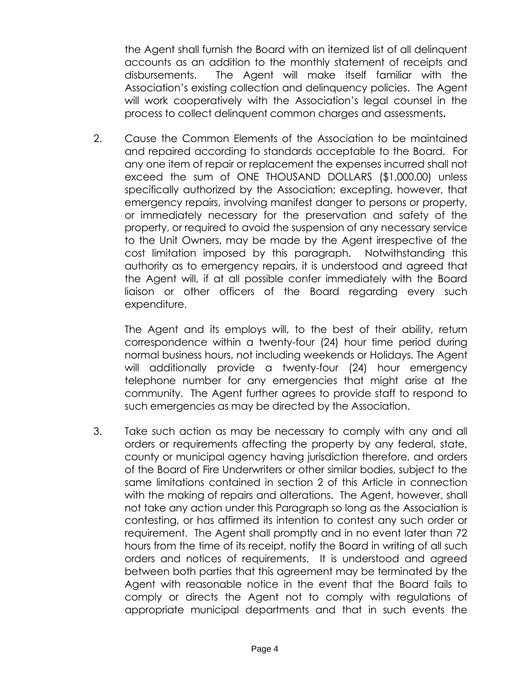the Agent shall furnish the Board with an itemized list of all delinquent accounts as an addition to the monthly statement of receipts and disbursements. The Agent will make itself familiar with the Association's existing collection and delinquency policies. The Agent will work cooperatively with the Association's legal counsel in the process to collect delinquent common charges and assessments**.**

2. Cause the Common Elements of the Association to be maintained and repaired according to standards acceptable to the Board. For any one item of repair or replacement the expenses incurred shall not exceed the sum of ONE THOUSAND DOLLARS (\$1,000.00) unless specifically authorized by the Association; excepting, however, that emergency repairs, involving manifest danger to persons or property, or immediately necessary for the preservation and safety of the property, or required to avoid the suspension of any necessary service to the Unit Owners, may be made by the Agent irrespective of the cost limitation imposed by this paragraph. Notwithstanding this authority as to emergency repairs, it is understood and agreed that the Agent will, if at all possible confer immediately with the Board liaison or other officers of the Board regarding every such expenditure.

The Agent and its employs will, to the best of their ability, return correspondence within a twenty-four (24) hour time period during normal business hours, not including weekends or Holidays. The Agent will additionally provide a twenty-four (24) hour emergency telephone number for any emergencies that might arise at the community. The Agent further agrees to provide staff to respond to such emergencies as may be directed by the Association.

3. Take such action as may be necessary to comply with any and all orders or requirements affecting the property by any federal, state, county or municipal agency having jurisdiction therefore, and orders of the Board of Fire Underwriters or other similar bodies, subject to the same limitations contained in section 2 of this Article in connection with the making of repairs and alterations. The Agent, however, shall not take any action under this Paragraph so long as the Association is contesting, or has affirmed its intention to contest any such order or requirement. The Agent shall promptly and in no event later than 72 hours from the time of its receipt, notify the Board in writing of all such orders and notices of requirements. It is understood and agreed between both parties that this agreement may be terminated by the Agent with reasonable notice in the event that the Board fails to comply or directs the Agent not to comply with regulations of appropriate municipal departments and that in such events the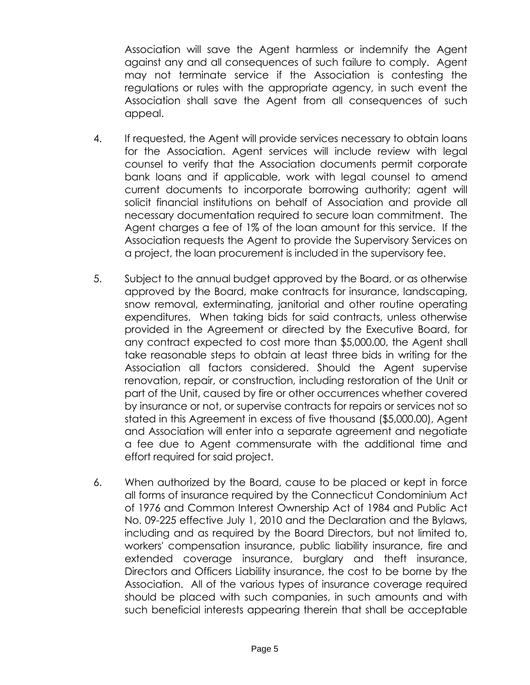Association will save the Agent harmless or indemnify the Agent against any and all consequences of such failure to comply. Agent may not terminate service if the Association is contesting the regulations or rules with the appropriate agency, in such event the Association shall save the Agent from all consequences of such appeal.

- 4. If requested, the Agent will provide services necessary to obtain loans for the Association. Agent services will include review with legal counsel to verify that the Association documents permit corporate bank loans and if applicable, work with legal counsel to amend current documents to incorporate borrowing authority; agent will solicit financial institutions on behalf of Association and provide all necessary documentation required to secure loan commitment. The Agent charges a fee of 1% of the loan amount for this service. If the Association requests the Agent to provide the Supervisory Services on a project, the loan procurement is included in the supervisory fee.
- 5. Subject to the annual budget approved by the Board, or as otherwise approved by the Board, make contracts for insurance, landscaping, snow removal, exterminating, janitorial and other routine operating expenditures. When taking bids for said contracts, unless otherwise provided in the Agreement or directed by the Executive Board, for any contract expected to cost more than \$5,000.00, the Agent shall take reasonable steps to obtain at least three bids in writing for the Association all factors considered. Should the Agent supervise renovation, repair, or construction, including restoration of the Unit or part of the Unit, caused by fire or other occurrences whether covered by insurance or not, or supervise contracts for repairs or services not so stated in this Agreement in excess of five thousand (\$5,000.00), Agent and Association will enter into a separate agreement and negotiate a fee due to Agent commensurate with the additional time and effort required for said project.
- 6. When authorized by the Board, cause to be placed or kept in force all forms of insurance required by the Connecticut Condominium Act of 1976 and Common Interest Ownership Act of 1984 and Public Act No. 09-225 effective July 1, 2010 and the Declaration and the Bylaws, including and as required by the Board Directors, but not limited to, workers' compensation insurance, public liability insurance, fire and extended coverage insurance, burglary and theft insurance, Directors and Officers Liability insurance, the cost to be borne by the Association. All of the various types of insurance coverage required should be placed with such companies, in such amounts and with such beneficial interests appearing therein that shall be acceptable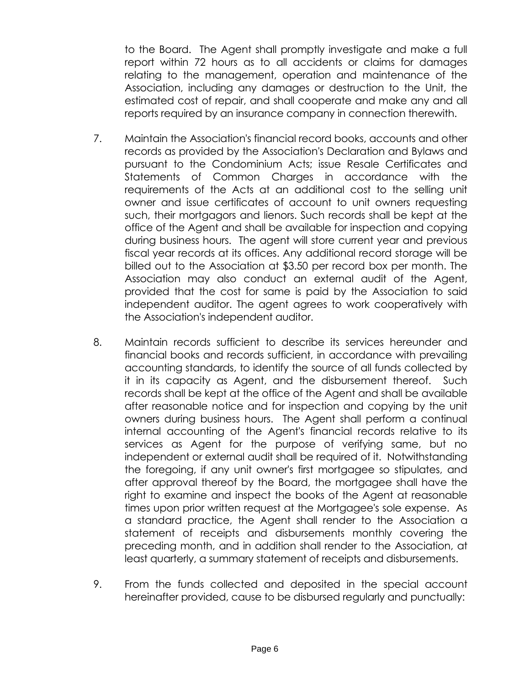to the Board. The Agent shall promptly investigate and make a full report within 72 hours as to all accidents or claims for damages relating to the management, operation and maintenance of the Association, including any damages or destruction to the Unit, the estimated cost of repair, and shall cooperate and make any and all reports required by an insurance company in connection therewith.

- 7. Maintain the Association's financial record books, accounts and other records as provided by the Association's Declaration and Bylaws and pursuant to the Condominium Acts; issue Resale Certificates and Statements of Common Charges in accordance with the requirements of the Acts at an additional cost to the selling unit owner and issue certificates of account to unit owners requesting such, their mortgagors and lienors. Such records shall be kept at the office of the Agent and shall be available for inspection and copying during business hours. The agent will store current year and previous fiscal year records at its offices. Any additional record storage will be billed out to the Association at \$3.50 per record box per month. The Association may also conduct an external audit of the Agent, provided that the cost for same is paid by the Association to said independent auditor. The agent agrees to work cooperatively with the Association's independent auditor.
- 8. Maintain records sufficient to describe its services hereunder and financial books and records sufficient, in accordance with prevailing accounting standards, to identify the source of all funds collected by it in its capacity as Agent, and the disbursement thereof. Such records shall be kept at the office of the Agent and shall be available after reasonable notice and for inspection and copying by the unit owners during business hours. The Agent shall perform a continual internal accounting of the Agent's financial records relative to its services as Agent for the purpose of verifying same, but no independent or external audit shall be required of it. Notwithstanding the foregoing, if any unit owner's first mortgagee so stipulates, and after approval thereof by the Board, the mortgagee shall have the right to examine and inspect the books of the Agent at reasonable times upon prior written request at the Mortgagee's sole expense. As a standard practice, the Agent shall render to the Association a statement of receipts and disbursements monthly covering the preceding month, and in addition shall render to the Association, at least quarterly, a summary statement of receipts and disbursements.
- 9. From the funds collected and deposited in the special account hereinafter provided, cause to be disbursed regularly and punctually: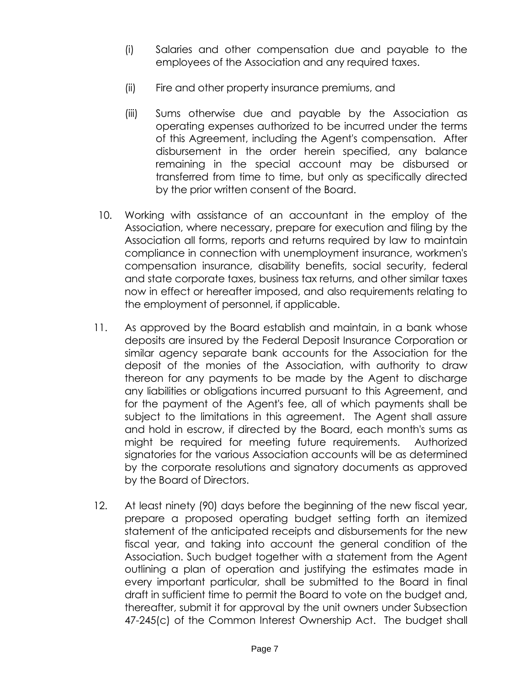- (i) Salaries and other compensation due and payable to the employees of the Association and any required taxes.
- (ii) Fire and other property insurance premiums, and
- (iii) Sums otherwise due and payable by the Association as operating expenses authorized to be incurred under the terms of this Agreement, including the Agent's compensation. After disbursement in the order herein specified, any balance remaining in the special account may be disbursed or transferred from time to time, but only as specifically directed by the prior written consent of the Board.
- 10. Working with assistance of an accountant in the employ of the Association, where necessary, prepare for execution and filing by the Association all forms, reports and returns required by law to maintain compliance in connection with unemployment insurance, workmen's compensation insurance, disability benefits, social security, federal and state corporate taxes, business tax returns, and other similar taxes now in effect or hereafter imposed, and also requirements relating to the employment of personnel, if applicable.
- 11. As approved by the Board establish and maintain, in a bank whose deposits are insured by the Federal Deposit Insurance Corporation or similar agency separate bank accounts for the Association for the deposit of the monies of the Association, with authority to draw thereon for any payments to be made by the Agent to discharge any liabilities or obligations incurred pursuant to this Agreement, and for the payment of the Agent's fee, all of which payments shall be subject to the limitations in this agreement. The Agent shall assure and hold in escrow, if directed by the Board, each month's sums as might be required for meeting future requirements. Authorized signatories for the various Association accounts will be as determined by the corporate resolutions and signatory documents as approved by the Board of Directors.
- 12. At least ninety (90) days before the beginning of the new fiscal year, prepare a proposed operating budget setting forth an itemized statement of the anticipated receipts and disbursements for the new fiscal year, and taking into account the general condition of the Association. Such budget together with a statement from the Agent outlining a plan of operation and justifying the estimates made in every important particular, shall be submitted to the Board in final draft in sufficient time to permit the Board to vote on the budget and, thereafter, submit it for approval by the unit owners under Subsection 47-245(c) of the Common Interest Ownership Act. The budget shall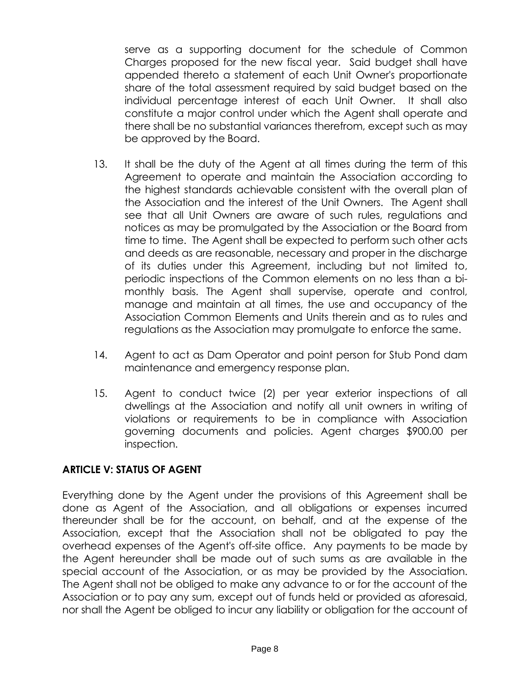serve as a supporting document for the schedule of Common Charges proposed for the new fiscal year. Said budget shall have appended thereto a statement of each Unit Owner's proportionate share of the total assessment required by said budget based on the individual percentage interest of each Unit Owner. It shall also constitute a major control under which the Agent shall operate and there shall be no substantial variances therefrom, except such as may be approved by the Board.

- 13. It shall be the duty of the Agent at all times during the term of this Agreement to operate and maintain the Association according to the highest standards achievable consistent with the overall plan of the Association and the interest of the Unit Owners. The Agent shall see that all Unit Owners are aware of such rules, regulations and notices as may be promulgated by the Association or the Board from time to time. The Agent shall be expected to perform such other acts and deeds as are reasonable, necessary and proper in the discharge of its duties under this Agreement, including but not limited to, periodic inspections of the Common elements on no less than a bimonthly basis. The Agent shall supervise, operate and control, manage and maintain at all times, the use and occupancy of the Association Common Elements and Units therein and as to rules and regulations as the Association may promulgate to enforce the same.
- 14. Agent to act as Dam Operator and point person for Stub Pond dam maintenance and emergency response plan.
- 15. Agent to conduct twice (2) per year exterior inspections of all dwellings at the Association and notify all unit owners in writing of violations or requirements to be in compliance with Association governing documents and policies. Agent charges \$900.00 per inspection.

### **ARTICLE V: STATUS OF AGENT**

Everything done by the Agent under the provisions of this Agreement shall be done as Agent of the Association, and all obligations or expenses incurred thereunder shall be for the account, on behalf, and at the expense of the Association, except that the Association shall not be obligated to pay the overhead expenses of the Agent's off-site office. Any payments to be made by the Agent hereunder shall be made out of such sums as are available in the special account of the Association, or as may be provided by the Association. The Agent shall not be obliged to make any advance to or for the account of the Association or to pay any sum, except out of funds held or provided as aforesaid, nor shall the Agent be obliged to incur any liability or obligation for the account of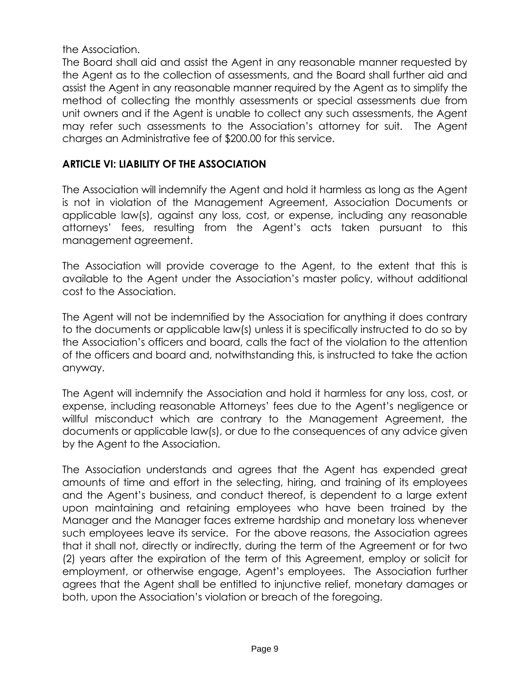the Association.

The Board shall aid and assist the Agent in any reasonable manner requested by the Agent as to the collection of assessments, and the Board shall further aid and assist the Agent in any reasonable manner required by the Agent as to simplify the method of collecting the monthly assessments or special assessments due from unit owners and if the Agent is unable to collect any such assessments, the Agent may refer such assessments to the Association's attorney for suit. The Agent charges an Administrative fee of \$200.00 for this service.

# **ARTICLE VI: LIABILITY OF THE ASSOCIATION**

The Association will indemnify the Agent and hold it harmless as long as the Agent is not in violation of the Management Agreement, Association Documents or applicable law(s), against any loss, cost, or expense, including any reasonable attorneys' fees, resulting from the Agent's acts taken pursuant to this management agreement.

The Association will provide coverage to the Agent, to the extent that this is available to the Agent under the Association's master policy, without additional cost to the Association.

The Agent will not be indemnified by the Association for anything it does contrary to the documents or applicable law(s) unless it is specifically instructed to do so by the Association's officers and board, calls the fact of the violation to the attention of the officers and board and, notwithstanding this, is instructed to take the action anyway.

The Agent will indemnify the Association and hold it harmless for any loss, cost, or expense, including reasonable Attorneys' fees due to the Agent's negligence or willful misconduct which are contrary to the Management Agreement, the documents or applicable law(s), or due to the consequences of any advice given by the Agent to the Association.

The Association understands and agrees that the Agent has expended great amounts of time and effort in the selecting, hiring, and training of its employees and the Agent's business, and conduct thereof, is dependent to a large extent upon maintaining and retaining employees who have been trained by the Manager and the Manager faces extreme hardship and monetary loss whenever such employees leave its service. For the above reasons, the Association agrees that it shall not, directly or indirectly, during the term of the Agreement or for two (2) years after the expiration of the term of this Agreement, employ or solicit for employment, or otherwise engage, Agent's employees. The Association further agrees that the Agent shall be entitled to injunctive relief, monetary damages or both, upon the Association's violation or breach of the foregoing.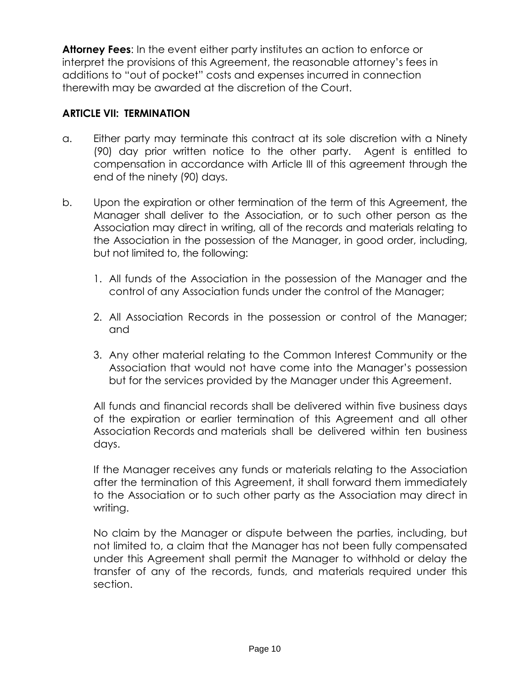**Attorney Fees**: In the event either party institutes an action to enforce or interpret the provisions of this Agreement, the reasonable attorney's fees in additions to "out of pocket" costs and expenses incurred in connection therewith may be awarded at the discretion of the Court.

## **ARTICLE VII: TERMINATION**

- a. Either party may terminate this contract at its sole discretion with a Ninety (90) day prior written notice to the other party. Agent is entitled to compensation in accordance with Article III of this agreement through the end of the ninety (90) days.
- b. Upon the expiration or other termination of the term of this Agreement, the Manager shall deliver to the Association, or to such other person as the Association may direct in writing, all of the records and materials relating to the Association in the possession of the Manager, in good order, including, but not limited to, the following:
	- 1. All funds of the Association in the possession of the Manager and the control of any Association funds under the control of the Manager;
	- 2. All Association Records in the possession or control of the Manager; and
	- 3. Any other material relating to the Common Interest Community or the Association that would not have come into the Manager's possession but for the services provided by the Manager under this Agreement.

All funds and financial records shall be delivered within five business days of the expiration or earlier termination of this Agreement and all other Association Records and materials shall be delivered within ten business days.

If the Manager receives any funds or materials relating to the Association after the termination of this Agreement, it shall forward them immediately to the Association or to such other party as the Association may direct in writing.

No claim by the Manager or dispute between the parties, including, but not limited to, a claim that the Manager has not been fully compensated under this Agreement shall permit the Manager to withhold or delay the transfer of any of the records, funds, and materials required under this section.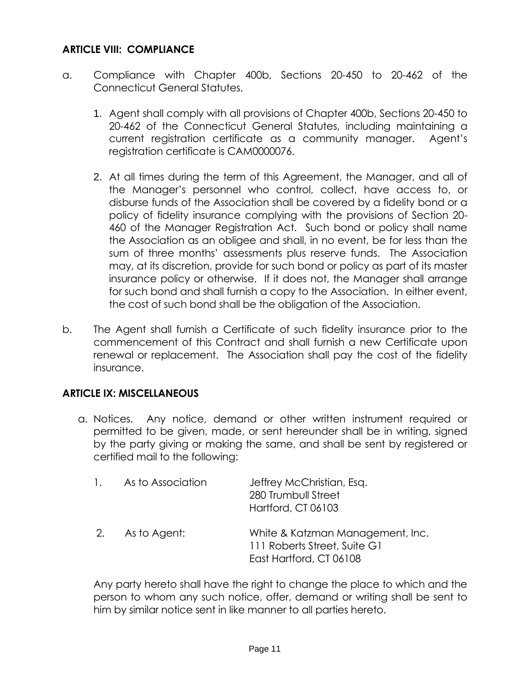## **ARTICLE VIII: COMPLIANCE**

- a. Compliance with Chapter 400b, Sections 20-450 to 20-462 of the Connecticut General Statutes.
	- 1. Agent shall comply with all provisions of Chapter 400b, Sections 20-450 to 20-462 of the Connecticut General Statutes, including maintaining a current registration certificate as a community manager. Agent's registration certificate is CAM0000076.
	- 2. At all times during the term of this Agreement, the Manager, and all of the Manager's personnel who control, collect, have access to, or disburse funds of the Association shall be covered by a fidelity bond or a policy of fidelity insurance complying with the provisions of Section 20- 460 of the Manager Registration Act. Such bond or policy shall name the Association as an obligee and shall, in no event, be for less than the sum of three months' assessments plus reserve funds. The Association may, at its discretion, provide for such bond or policy as part of its master insurance policy or otherwise. If it does not, the Manager shall arrange for such bond and shall furnish a copy to the Association. In either event, the cost of such bond shall be the obligation of the Association.
- b. The Agent shall furnish a Certificate of such fidelity insurance prior to the commencement of this Contract and shall furnish a new Certificate upon renewal or replacement. The Association shall pay the cost of the fidelity insurance.

### **ARTICLE IX: MISCELLANEOUS**

a. Notices. Any notice, demand or other written instrument required or permitted to be given, made, or sent hereunder shall be in writing, signed by the party giving or making the same, and shall be sent by registered or certified mail to the following:

|  | As to Association | Jeffrey McChristian, Esq.<br>280 Trumbull Street<br>Hartford, CT 06103                      |
|--|-------------------|---------------------------------------------------------------------------------------------|
|  | 2. As to Agent:   | White & Katzman Management, Inc.<br>111 Roberts Street, Suite G1<br>East Hartford, CT 06108 |

Any party hereto shall have the right to change the place to which and the person to whom any such notice, offer, demand or writing shall be sent to him by similar notice sent in like manner to all parties hereto.